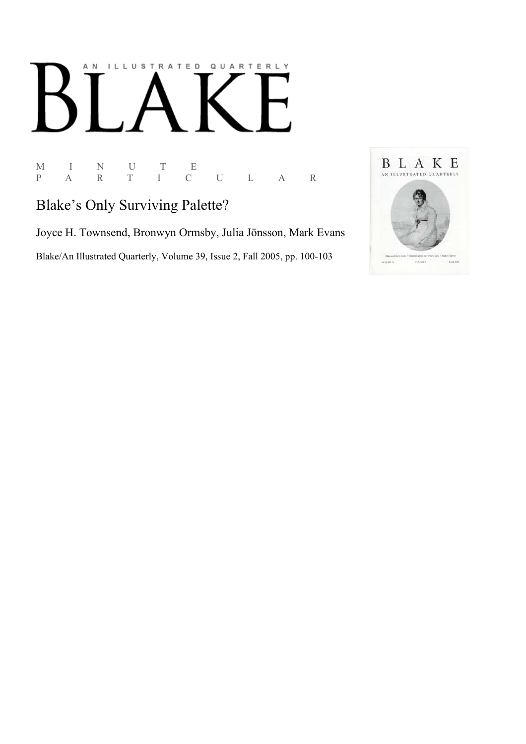# ILLUSTRATED QUARTERLY A N

 $\begin{array}{ccccccccc} \textrm{M} & & I & & \textrm{N} & & \textrm{U} & & \textrm{T} & & \textrm{E} \\ \textrm{P} & & \textrm{A} & & \textrm{R} & & \textrm{T} & & \textrm{I} & & \textrm{C} \end{array}$ P A R T I C U L A R

# Blake's Only Surviving Palette?

Joyce H. Townsend, Bronwyn Ormsby, Julia Jönsson, Mark Evans Blake/An Illustrated Quarterly, Volume 39, Issue 2, Fall 2005, pp. 100-103

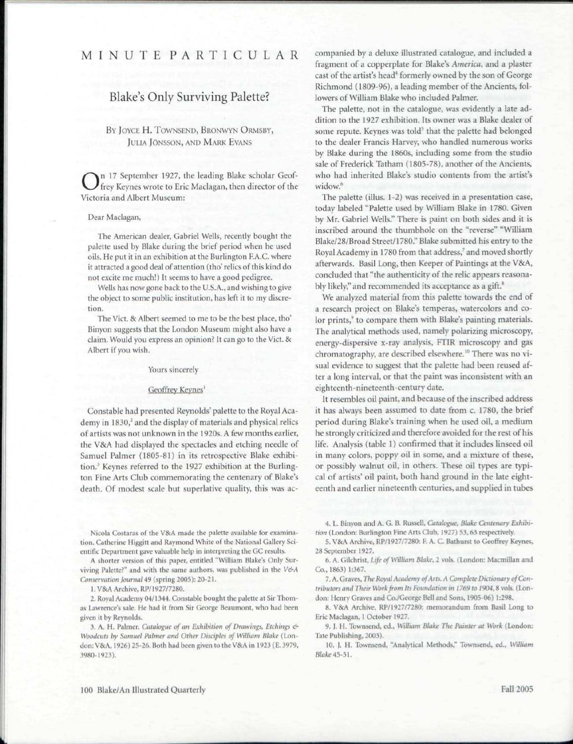# MINUT E PARTICULA R

## Blake's Only Surviving Palette?

#### BY JOYCE H. TOWNSEND, BRONWYN ORMSBY, JULIA JONSSON, AND MARK EVANS

O Victoria and Albert Museum: n 17 September 1927, the leading Blake scholar Geoffrey Keynes wrote to Eric Maclagan, then director of the

#### Dear Maclagan,

The American dealer, Gabriel Wells, recently bought the palette used by Blake during the brief period when he used oils. He put it in an exhibition at the Burlington F.A.G. where it attracted a good deal of attention (tho' relics of this kind do not excite me much!) It seems to have a good pedigree.

Wells has now gone back to the U.S.A., and wishing to give the object to some public institution, has left it to my discretion.

The Vict. & Albert seemed to me to be the best place, tho' Binyon suggests that the London Museum might also have a claim. Would you express an opinion? It can go to the Vict. & Albert if you wish.

#### Yours sincerely

#### Geoffrey Keynes'

Constable had presented Reynolds' palette to the Royal Academy in 1830,<sup>2</sup> and the display of materials and physical relics of artists was not unknown in the 1920s. A few months earlier, the V&A had displayed the spectacles and etching needle of Samuel Palmer (1805-81) in its retrospective Blake exhibition.<sup>3</sup> Keynes referred to the 1927 exhibition at the Burlington Fine Arts Club commemorating the centenary of Blake's death. Of modest scale but superlative quality, this was ac-

Nicola Costaras of the V&A made the palette available for examination. Catherine Higgitt and Raymond White of the National Gallery Scientific Department gave valuable help in interpreting the GC results.

A shorter version of this paper, entitled "William Blake's Only Surviving Palette?" and with the same authors, was published in the V&A Conservation Journal 49 (spring 2005): 20-21.

1. V&A Archive. RP/1927/7280.

2. Royal Academy 04/1344. Constable bought the palette at Sir Thorn as Lawrence's sale. He had it from Sir George Beaumont, who had been given it by Reynolds.

3. A. H. Palmer, *Catalogue of an Exhibition of Drawings*, *Etchings* & *Woodcuts by Samuel Palmer and Other Disciples of William Blake* (London: V&A, 1926) 25-26. Both had been given to the V&A in 1923 (E. 3979, 3980 1923).

companied by a deluxe illustrated catalogue, and included a fragment of a copperplate for Blake's *America,* and a plaster cast of the artist's head<sup>4</sup> formerly owned by the son of George Richmond (1809-96), a leading member of the Ancients, followers of William Blake who included Palmer.

The palette, not in the catalogue, was evidently a late addition to the 1927 exhibition. Its owner was a Blake dealer of some repute. Keynes was told<sup>5</sup> that the palette had belonged to the dealer Francis Harvey, who handled numerous works by Blake during the 1860s, including some from the studio sale of Frederick Tatham (1805-78), another of the Ancients, who had inherited Blake's studio contents from the artist's widow.<sup>6</sup>

The palette (illus. 1-2) was received in a presentation case, today labeled "Palette used by William Blake in 1780. Given by Mr. Gabriel Wells." There is paint on both sides and it is inscribed around the thumbhole on the "reverse" "William Blake/28/Broad Street/1780." Blake submitted his entry to the Royal Academy in 1780 from that address,<sup>7</sup> and moved shortly afterwards. Basil Long, then Keeper of Paintings at the V8cA, concluded that "the authenticity of the relic appears reasonably likely," and recommended its acceptance as a gift.<sup>8</sup>

We analyzed material from this palette towards the end of a research project on Blake's temperas, watercolors and color prints,<sup>9</sup> to compare them with Blake's painting materials. The analytical methods used, namely polarizing microscopy, energy-dispersive x-ray analysis, FTIR microscopy and gas chromatography, are described elsewhere.<sup>10</sup> There was no visual evidence to suggest that the palette had been reused after a long interval, or that the paint was inconsistent with an eighteenth-nineteenth-century date.

It resembles oil paint, and because of the inscribed address it has always been assumed to date from c. 1780, the brief period during Blake's training when he used oil, a medium he strongly criticized and therefore avoided for the rest of his life. Analysis (table 1) confirmed that it includes linseed oil in many colors, poppy oil in some, and a mixture of these, or possibly walnut oil, in others. These oil types are typical of artists' oil paint, both hand ground in the late eighteenth and earlier nineteenth centuries, and supplied in tubes

4. L. Binyon and A. G. B. Russell, *Catalogue, Blake Centenary Exhibi*tion (London: Burlington Fine Arts Club, 1927) 53, 63 respectively.

5. V&A Archive, RP/1927/7280: F. A. C. Bathurst to Geoffrey Keynes, 28 September 1927.

6. A. Gilchrist, Life of William Blake, 2 vols. (London: Macmillan and Co., 1863) 1:367.

7. A. Graves, The Royal Academy of Arts. A Complete Dictionary of Con*tributors ami Their Work from Its lomulation m 1769 to 1904,*8 vols. (London: Henry Graves and Co./George Bell and Sons, 1905-06) 1:298.

8. V&A Archive, RP/1927/7280: memorandum from Basil Long to Eric Maclagan, 1 October 1927.

9. J. H. Townsend, ed., William Blake The Painter at Work (London: Tate Publishing, 2003).

10. I. II. Townsend, "Analytical Methods," Townsend, ed., *William Blake* 45-51.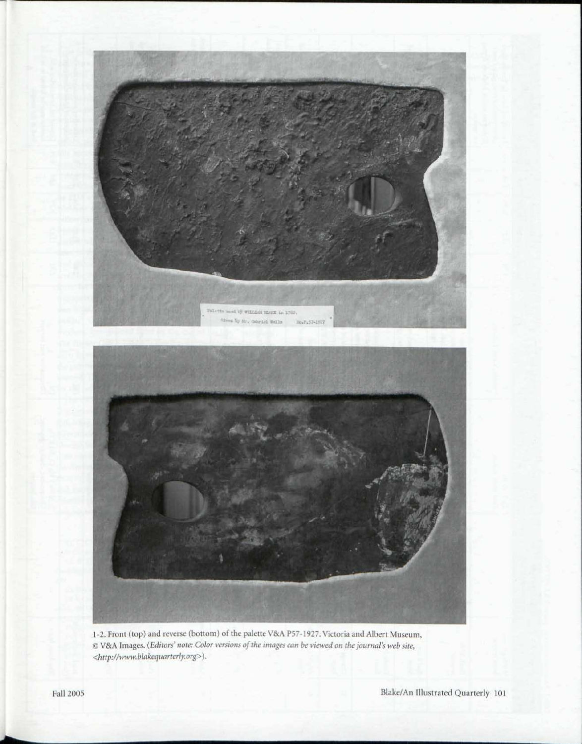

1-2. Front (top) and reverse (bottom) of the palette V&A P57-1927. Victoria and Albert Museum, © V&A Images. *(Editors' note: Color versions of the images can be viewed on the journal's web site, <http://www.blakequarterly.org>).*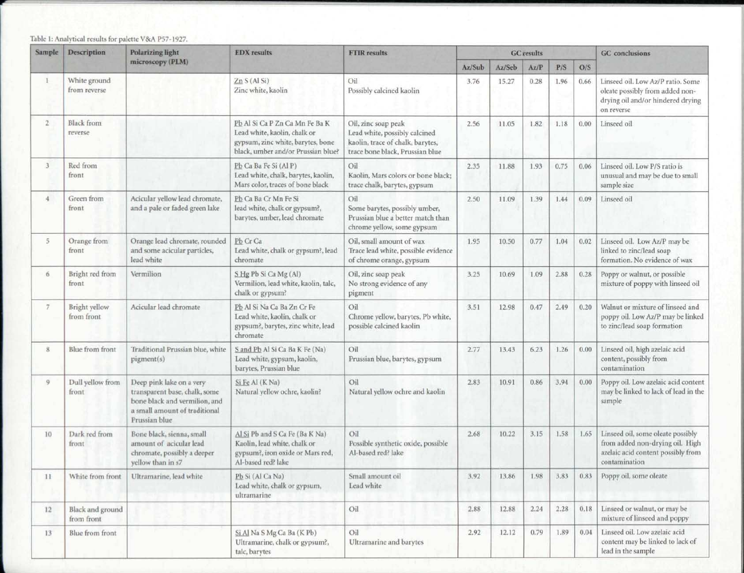### Table 1: Analytical results for palette V&A P57-1927.

| Sample         | Description                    | Polarizing light<br>microscopy (PLM)                                                                                                         | <b>EDX</b> results                                                                                                                        | <b>FTIR</b> results                                                                                                         | <b>GC</b> results |        |      |      |      | <b>GC</b> conclusions                                                                                                       |
|----------------|--------------------------------|----------------------------------------------------------------------------------------------------------------------------------------------|-------------------------------------------------------------------------------------------------------------------------------------------|-----------------------------------------------------------------------------------------------------------------------------|-------------------|--------|------|------|------|-----------------------------------------------------------------------------------------------------------------------------|
|                |                                |                                                                                                                                              |                                                                                                                                           |                                                                                                                             | Az/Sub            | Az/Seb | Az/P | P/S  | O/S  |                                                                                                                             |
|                | White ground<br>from reverse   |                                                                                                                                              | Zn S (Al Si)<br>Zinc white, kaolin                                                                                                        | Oil<br>Possibly calcined kaolin                                                                                             | 3.76              | 15.27  | 0.28 | 1.96 | 0.66 | Linseed oil. Low Az/P ratio. Some<br>oleate possibly from added non-<br>drying oil and/or hindered drying<br>on reverse     |
| $\mathbf{2}$   | <b>Black</b> from<br>reverse   |                                                                                                                                              | Pb Al Si Ca P Zn Ca Mn Fe Ba K<br>Lead white, kaolin, chalk or<br>gypsum, zinc white, barytes, bone<br>black, umber and/or Prussian blue? | Oil, zinc soap peak<br>Lead white, possibly calcined<br>kaolin, trace of chalk, barytes,<br>trace bone black, Prussian blue | 2.56              | 11.05  | 1.82 | 1.18 | 0.00 | Linseed oil                                                                                                                 |
| 3              | Red from<br>front              |                                                                                                                                              | Pb Ca Ba Fe Si (Al P)<br>Lead white, chalk, barytes, kaolin,<br>Mars color, traces of bone black                                          | Oil<br>Kaolin, Mars colors or bone black;<br>trace chalk, barytes, gypsum                                                   | 2.35              | 11.88  | 1.93 | 0.75 | 0.06 | Linseed oil. Low P/S ratio is<br>unusual and may be due to small<br>sample size                                             |
| 4              | Green from<br>front            | Acicular yellow lead chromate,<br>and a pale or faded green lake                                                                             | Pb Ca Ba Cr Mn Fe Si<br>lead white, chalk or gypsum?,<br>barytes, umber, lead chromate                                                    | Oil<br>Some barytes, possibly umber,<br>Prussian blue a better match than<br>chrome yellow, some gypsum                     | 2.50              | 11.09  | 1.39 | 1.44 | 0.09 | Linseed oil                                                                                                                 |
| 5              | Orange from<br>front           | Orange lead chromate, rounded<br>and some acicular particles,<br>lead white                                                                  | Pb Cr Ca<br>Lead white, chalk or gypsum?, lead<br>chromate                                                                                | Oil, small amount of wax<br>Trace lead white, possible evidence<br>of chrome orange, gypsum                                 | 1.95              | 10.50  | 0.77 | 1.04 | 0.02 | Linseed oil. Low Az/P may be<br>linked to zinc/lead soap<br>formation. No evidence of wax                                   |
| 6              | Bright red from<br>front       | Vermilion                                                                                                                                    | S Hg Pb Si Ca Mg (Al)<br>Vermilion, lead white, kaolin, talc,<br>chalk or gypsum?                                                         | Oil, zinc soap peak<br>No strong evidence of any<br>pigment                                                                 | 3.25              | 10.69  | 1.09 | 2.88 | 0.28 | Poppy or walnut, or possible<br>mixture of poppy with linseed oil                                                           |
| $\overline{z}$ | Bright yellow<br>from front    | Acicular lead chromate                                                                                                                       | Pb Al Si Na Ca Ba Zn Cr Fe<br>Lead white, kaolin, chalk or<br>gypsum?, barytes, zinc white, lead<br>chromate                              | Oil<br>Chrome yellow, barytes, Pb white,<br>possible calcined kaolin                                                        | 3.51              | 12.98  | 0.47 | 2.49 | 0.20 | Walnut or mixture of linseed and<br>poppy oil. Low Az/P may be linked<br>to zinc/lead soap formation                        |
| 8              | Blue from front                | Traditional Prussian blue, white<br>pigment(s)                                                                                               | S and Pb Al Si Ca Ba K Fe (Na)<br>Lead white, gypsum, kaolin,<br>barytes, Prussian blue                                                   | Oil<br>Prussian blue, barytes, gypsum                                                                                       | 2.77              | 13.43  | 6.23 | 1.26 | 0.00 | Linseed oil, high azelaic acid<br>content, possibly from<br>contamination                                                   |
| 9              | Dull yellow from<br>front      | Deep pink lake on a very<br>transparent base, chalk, some<br>bone black and vermilion, and<br>a small amount of traditional<br>Prussian blue | Si Fe Al (K Na)<br>Natural yellow ochre, kaolin?                                                                                          | Oil<br>Natural yellow ochre and kaolin                                                                                      | 2.83              | 10.91  | 0.86 | 3.94 | 0.00 | Poppy oil. Low azelaic acid content<br>may be linked to lack of lead in the<br>sample                                       |
| 10             | Dark red from<br>front         | Bone black, sienna, small<br>amount of acicular lead<br>chromate, possibly a deeper<br>yellow than in s7                                     | Al Si Pb and S Ca Fe (Ba K Na)<br>Kaolin, lead white, chalk or<br>gypsum?, iron oxide or Mars red,<br>Al-based red? lake                  | Oil<br>Possible synthetic oxide, possible<br>Al-based red? lake                                                             | 2.68              | 10.22  | 3.15 | 1.58 | 1.65 | Linseed oil, some oleate possibly<br>from added non-drying oil. High<br>azelaic acid content possibly from<br>contamination |
| 11             | White from front               | Ultramarine, lead white                                                                                                                      | Pb Si (Al Ca Na)<br>Lead white, chalk or gypsum,<br>ultramarine                                                                           | Small amount oil<br>Lead white                                                                                              | 3.92              | 13.86  | 1.98 | 3.83 | 0.83 | Poppy oil, some oleate                                                                                                      |
| 12             | Black and ground<br>from front |                                                                                                                                              |                                                                                                                                           | Oil                                                                                                                         | 2.88              | 12.88  | 2.24 | 2.28 | 0.18 | Linseed or walnut, or may be<br>mixture of linseed and poppy                                                                |
| 13             | Blue from front                |                                                                                                                                              | Si Al Na S Mg Ca Ba (K Pb)<br>Ultramarine, chalk or gypsum?,<br>talc, barytes                                                             | Oil<br>Ultramarine and barytes                                                                                              | 2.92              | 12.12  | 0.79 | 1.89 | 0.04 | Linseed oil. Low azelaic acid<br>content may be linked to lack of<br>lead in the sample                                     |